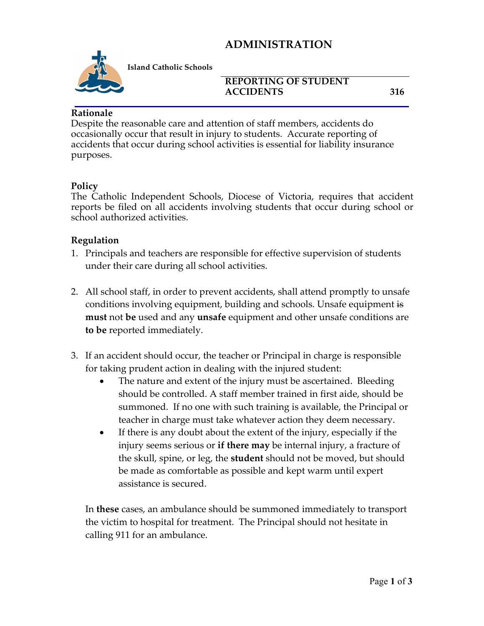## **ADMINISTRATION**



**Island Catholic Schools** 

#### **REPORTING OF STUDENT ACCIDENTS 316**

#### **Rationale**

Despite the reasonable care and attention of staff members, accidents do occasionally occur that result in injury to students. Accurate reporting of accidents that occur during school activities is essential for liability insurance purposes.

#### **Policy**

The Catholic Independent Schools, Diocese of Victoria, requires that accident reports be filed on all accidents involving students that occur during school or school authorized activities.

#### **Regulation**

- 1. Principals and teachers are responsible for effective supervision of students under their care during all school activities.
- 2. All school staff, in order to prevent accidents, shall attend promptly to unsafe conditions involving equipment, building and schools. Unsafe equipment is **must** not **be** used and any **unsafe** equipment and other unsafe conditions are **to be** reported immediately.
- 3. If an accident should occur, the teacher or Principal in charge is responsible for taking prudent action in dealing with the injured student:
	- The nature and extent of the injury must be ascertained. Bleeding should be controlled. A staff member trained in first aide, should be summoned. If no one with such training is available, the Principal or teacher in charge must take whatever action they deem necessary.
	- If there is any doubt about the extent of the injury, especially if the injury seems serious or **if there may** be internal injury, a fracture of the skull, spine, or leg, the **student** should not be moved, but should be made as comfortable as possible and kept warm until expert assistance is secured.

In **these** cases, an ambulance should be summoned immediately to transport the victim to hospital for treatment. The Principal should not hesitate in calling 911 for an ambulance.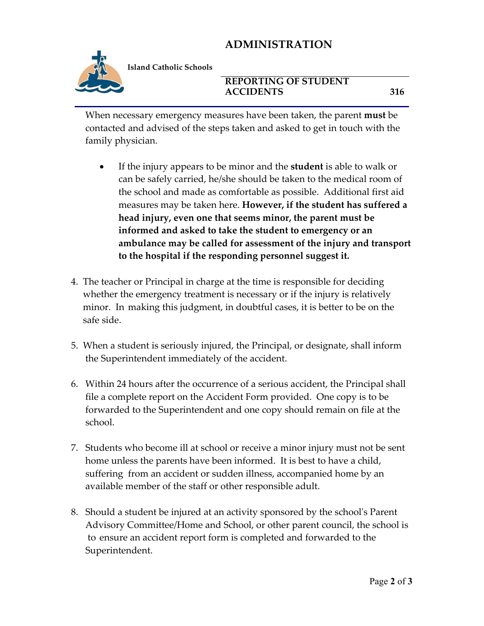# **ADMINISTRATION**



**Island Catholic Schools** 

### **REPORTING OF STUDENT ACCIDENTS 316**

When necessary emergency measures have been taken, the parent **must** be contacted and advised of the steps taken and asked to get in touch with the family physician.

- If the injury appears to be minor and the **student** is able to walk or can be safely carried, he/she should be taken to the medical room of the school and made as comfortable as possible. Additional first aid measures may be taken here. **However, if the student has suffered a head injury, even one that seems minor, the parent must be informed and asked to take the student to emergency or an ambulance may be called for assessment of the injury and transport to the hospital if the responding personnel suggest it.**
- 4. The teacher or Principal in charge at the time is responsible for deciding whether the emergency treatment is necessary or if the injury is relatively minor. In making this judgment, in doubtful cases, it is better to be on the safe side.
- 5. When a student is seriously injured, the Principal, or designate, shall inform the Superintendent immediately of the accident.
- 6. Within 24 hours after the occurrence of a serious accident, the Principal shall file a complete report on the Accident Form provided. One copy is to be forwarded to the Superintendent and one copy should remain on file at the school.
- 7. Students who become ill at school or receive a minor injury must not be sent home unless the parents have been informed. It is best to have a child, suffering from an accident or sudden illness, accompanied home by an available member of the staff or other responsible adult.
- 8. Should a student be injured at an activity sponsored by the school's Parent Advisory Committee/Home and School, or other parent council, the school is to ensure an accident report form is completed and forwarded to the Superintendent.